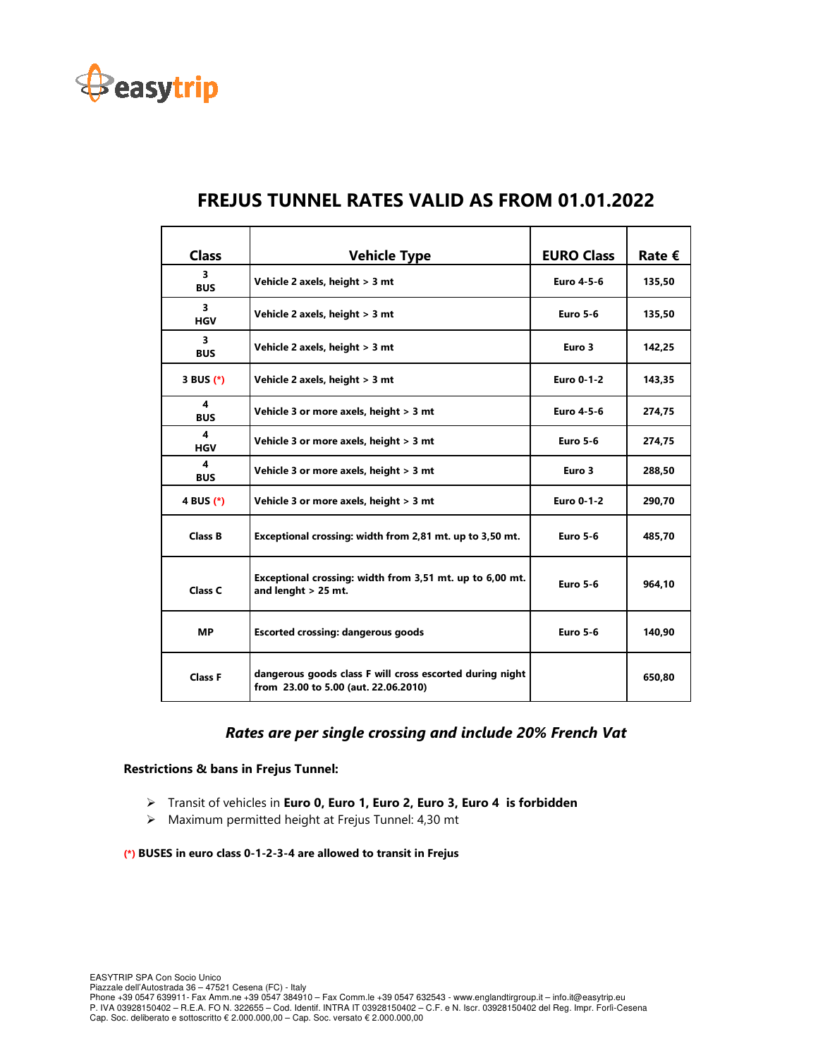

| <b>Class</b>    | <b>Vehicle Type</b>                                                                              | <b>EURO Class</b> | Rate $€$ |
|-----------------|--------------------------------------------------------------------------------------------------|-------------------|----------|
| 3<br><b>BUS</b> | Vehicle 2 axels, height > 3 mt                                                                   | Euro 4-5-6        | 135,50   |
| 3<br><b>HGV</b> | Vehicle 2 axels, height > 3 mt                                                                   | <b>Euro 5-6</b>   | 135,50   |
| 3<br><b>BUS</b> | Vehicle 2 axels, height > 3 mt                                                                   | Euro 3            | 142,25   |
| 3 BUS $(*)$     | Vehicle 2 axels, height > 3 mt                                                                   | <b>Euro 0-1-2</b> | 143,35   |
| 4<br><b>BUS</b> | Vehicle 3 or more axels, height > 3 mt                                                           | Euro 4-5-6        | 274,75   |
| 4<br><b>HGV</b> | Vehicle 3 or more axels, height > 3 mt                                                           | <b>Euro 5-6</b>   | 274,75   |
| 4<br><b>BUS</b> | Vehicle 3 or more axels, height > 3 mt                                                           | Euro 3            | 288,50   |
| 4 BUS (*)       | Vehicle 3 or more axels, height > 3 mt                                                           | <b>Euro 0-1-2</b> | 290,70   |
| <b>Class B</b>  | Exceptional crossing: width from 2,81 mt. up to 3,50 mt.                                         | <b>Euro 5-6</b>   | 485,70   |
| Class C         | Exceptional crossing: width from 3,51 mt. up to 6,00 mt.<br>and lenght $>$ 25 mt.                | <b>Euro 5-6</b>   |          |
| <b>MP</b>       | <b>Escorted crossing: dangerous goods</b>                                                        | <b>Euro 5-6</b>   | 140,90   |
| <b>Class F</b>  | dangerous goods class F will cross escorted during night<br>from 23.00 to 5.00 (aut. 22.06.2010) |                   | 650,80   |

# **FREJUS TUNNEL RATES VALID AS FROM 01.01.2022**

## *Rates are per single crossing and include 20% French Vat*

#### **Restrictions & bans in Frejus Tunnel:**

- Transit of vehicles in **Euro 0, Euro 1, Euro 2, Euro 3, Euro 4 is forbidden**
- Maximum permitted height at Frejus Tunnel: 4,30 mt

#### **(\*) BUSES in euro class 0-1-2-3-4 are allowed to transit in Frejus**